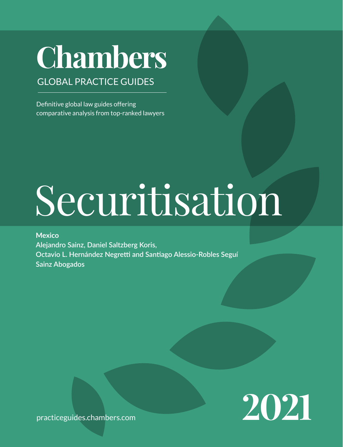## **Chambers**

## GLOBAL PRACTICE GUIDES

Definitive global law guides offering comparative analysis from top-ranked lawyers

# Securitisation

### **Mexico**

**Alejandro Sainz, Daniel Saltzberg Koris, Octavio L. Hernández Negretti and Santiago Alessio-Robles Seguí Sainz Abogados**

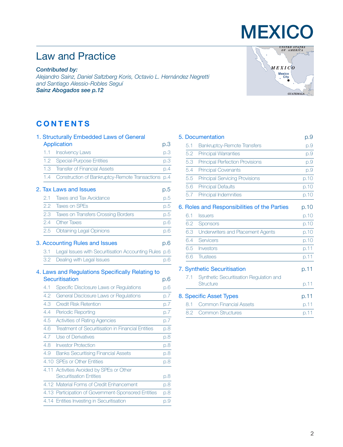## Law and Practice

*Contributed by:*

*Alejandro Sainz, Daniel Saltzberg Koris, Octavio L. Hernández Negretti and Santiago Alessio-Robles Seguí Sainz Abogado[s see p.12](#page-11-0)*

#### **CONTENTS**

| 1. Structurally Embedded Laws of General |                                                     |     |  |
|------------------------------------------|-----------------------------------------------------|-----|--|
|                                          | Application                                         | p.3 |  |
| 1.1                                      | <b>Insolvency Laws</b>                              | p.3 |  |
| 1.2                                      | <b>Special-Purpose Entities</b>                     | p.3 |  |
| 1.3                                      | <b>Transfer of Financial Assets</b>                 | p.4 |  |
| 1.4                                      | Construction of Bankruptcy-Remote Transactions      | p.4 |  |
|                                          | 2. Tax Laws and Issues                              | p.5 |  |
| 2.1                                      | <b>Taxes and Tax Avoidance</b>                      | p.5 |  |
| 2.2                                      | <b>Taxes on SPEs</b>                                | p.5 |  |
| 2.3                                      | <b>Taxes on Transfers Crossing Borders</b>          | p.5 |  |
| 2.4                                      | <b>Other Taxes</b>                                  | D.6 |  |
| 2.5                                      | <b>Obtaining Legal Opinions</b>                     | D.6 |  |
|                                          | 3. Accounting Rules and Issues                      | p.6 |  |
| 3.1                                      | Legal Issues with Securitisation Accounting Rules   | p.6 |  |
| 3.2                                      | Dealing with Legal Issues                           | p.6 |  |
|                                          | 4. Laws and Regulations Specifically Relating to    |     |  |
|                                          | Securitisation                                      | p.6 |  |
| 4.1                                      | Specific Disclosure Laws or Regulations             | D.6 |  |
| 4.2                                      | General Disclosure Laws or Regulations              | p.7 |  |
| 4.3                                      | <b>Credit Risk Retention</b>                        | p.7 |  |
| 4.4                                      | <b>Periodic Reporting</b>                           | p.7 |  |
| 4.5                                      | Activities of Rating Agencies                       | p.7 |  |
| 4.6                                      | Treatment of Securitisation in Financial Entities   | p.8 |  |
| 4.7                                      | Use of Derivatives                                  | p.8 |  |
| 4.8                                      | <b>Investor Protection</b>                          | p.8 |  |
| 4.9                                      | <b>Banks Securitising Financial Assets</b>          | D.8 |  |
|                                          | 4.10 SPEs or Other Entities                         | p.8 |  |
| 4.11                                     | Activities Avoided by SPEs or Other                 |     |  |
|                                          | <b>Securitisation Entities</b>                      | p.8 |  |
|                                          | 4.12 Material Forms of Credit Enhancement           | p.8 |  |
|                                          | 4.13 Participation of Government-Sponsored Entities | p.8 |  |
|                                          | 4.14 Entities Investing in Securitisation           | p.9 |  |



**MEXICO** 

|                                    | 5. Documentation                                     | p.9  |
|------------------------------------|------------------------------------------------------|------|
| 5.1                                | <b>Bankruptcy-Remote Transfers</b>                   | p.9  |
| 5.2                                | <b>Principal Warranties</b>                          | p.9  |
| 5.3                                | <b>Principal Perfection Provisions</b>               | p.9  |
| 5.4                                | <b>Principal Covenants</b>                           | p.9  |
| 5.5                                | <b>Principal Servicing Provisions</b>                | p.10 |
| 5.6                                | <b>Principal Defaults</b>                            | p.10 |
| 5.7                                | <b>Principal Indemnities</b>                         | p.10 |
|                                    | 6. Roles and Responsibilities of the Parties         | p.10 |
| 6.1                                | <b>Issuers</b>                                       | p.10 |
| 6.2                                | Sponsors                                             | p.10 |
| 6.3                                | Underwriters and Placement Agents                    | p.10 |
| 6.4                                | Servicers                                            | p.10 |
| 6.5                                | Investors                                            | p.11 |
| 6.6                                | <b>Trustees</b>                                      | p.11 |
| <b>7. Synthetic Securitisation</b> | p.11                                                 |      |
| 7.1                                | Synthetic Securitisation Regulation and<br>Structure | p.11 |
| 8. Specific Asset Types            | p.11                                                 |      |
| 8.1                                | Common Financial Assets                              | p.11 |
| 8.2                                | <b>Common Structures</b>                             | p.11 |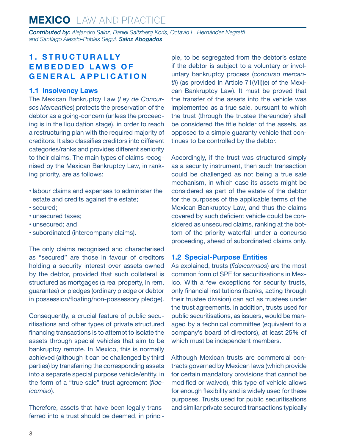<span id="page-2-0"></span>*Contributed by: Alejandro Sainz, Daniel Saltzberg Koris, Octavio L. Hernández Negretti and Santiago Alessio-Robles Seguí, Sainz Abogados*

#### **1 . S T R U C T U R A L LY E M B E D D E D L A W S O F GENERAL APPLICATION**

#### **1.1 Insolvency Laws**

The Mexican Bankruptcy Law (*Ley de Concursos Mercantiles*) protects the preservation of the debtor as a going-concern (unless the proceeding is in the liquidation stage), in order to reach a restructuring plan with the required majority of creditors. It also classifies creditors into different categories/ranks and provides different seniority to their claims. The main types of claims recognised by the Mexican Bankruptcy Law, in ranking priority, are as follows:

- labour claims and expenses to administer the estate and credits against the estate;
- secured;
- unsecured taxes;
- unsecured; and
- subordinated (intercompany claims).

The only claims recognised and characterised as "secured" are those in favour of creditors holding a security interest over assets owned by the debtor, provided that such collateral is structured as mortgages (a real property, in rem, guarantee) or pledges (ordinary pledge or debtor in possession/floating/non-possessory pledge).

Consequently, a crucial feature of public securitisations and other types of private structured financing transactions is to attempt to isolate the assets through special vehicles that aim to be bankruptcy remote. In Mexico, this is normally achieved (although it can be challenged by third parties) by transferring the corresponding assets into a separate special purpose vehicle/entity, in the form of a "true sale" trust agreement (*fideicomiso*).

Therefore, assets that have been legally transferred into a trust should be deemed, in principle, to be segregated from the debtor's estate if the debtor is subject to a voluntary or involuntary bankruptcy process (*concurso mercantil*) (as provided in Article 71(VII)(e) of the Mexican Bankruptcy Law). It must be proved that the transfer of the assets into the vehicle was implemented as a true sale, pursuant to which the trust (through the trustee thereunder) shall be considered the title holder of the assets, as opposed to a simple guaranty vehicle that continues to be controlled by the debtor.

Accordingly, if the trust was structured simply as a security instrument, then such transaction could be challenged as not being a true sale mechanism, in which case its assets might be considered as part of the estate of the debtor for the purposes of the applicable terms of the Mexican Bankruptcy Law, and thus the claims covered by such deficient vehicle could be considered as unsecured claims, ranking at the bottom of the priority waterfall under a concurso proceeding, ahead of subordinated claims only.

#### **1.2 Special-Purpose Entities**

As explained, trusts (*fideicomisos*) are the most common form of SPE for securitisations in Mexico. With a few exceptions for security trusts, only financial institutions (banks, acting through their trustee division) can act as trustees under the trust agreements. In addition, trusts used for public securitisations, as issuers, would be managed by a technical committee (equivalent to a company's board of directors), at least 25% of which must be independent members.

Although Mexican trusts are commercial contracts governed by Mexican laws (which provide for certain mandatory provisions that cannot be modified or waived), this type of vehicle allows for enough flexibility and is widely used for these purposes. Trusts used for public securitisations and similar private secured transactions typically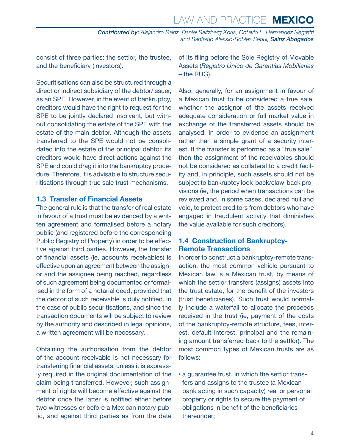<span id="page-3-0"></span>consist of three parties: the settlor, the trustee, and the beneficiary (investors).

Securitisations can also be structured through a direct or indirect subsidiary of the debtor/issuer, as an SPE. However, in the event of bankruptcy, creditors would have the right to request for the SPE to be jointly declared insolvent, but without consolidating the estate of the SPE with the estate of the main debtor. Although the assets transferred to the SPE would not be consolidated into the estate of the principal debtor, its creditors would have direct actions against the SPE and could drag it into the bankruptcy procedure. Therefore, it is advisable to structure securitisations through true sale trust mechanisms.

#### **1.3 Transfer of Financial Assets**

The general rule is that the transfer of real estate in favour of a trust must be evidenced by a written agreement and formalised before a notary public (and registered before the corresponding Public Registry of Property) in order to be effective against third parties. However, the transfer of financial assets (ie, accounts receivables) is effective upon an agreement between the assignor and the assignee being reached, regardless of such agreement being documented or formalised in the form of a notarial deed, provided that the debtor of such receivable is duly notified. In the case of public securitisations, and since the transaction documents will be subject to review by the authority and described in legal opinions, a written agreement will be necessary.

Obtaining the authorisation from the debtor of the account receivable is not necessary for transferring financial assets, unless it is expressly required in the original documentation of the claim being transferred. However, such assignment of rights will become effective against the debtor once the latter is notified either before two witnesses or before a Mexican notary public, and against third parties as from the date of its filing before the Sole Registry of Movable Assets (*Registro Único de Garantías Mobiliarias –* the RUG).

Also, generally, for an assignment in favour of a Mexican trust to be considered a true sale, whether the assignor of the assets received adequate consideration or full market value in exchange of the transferred assets should be analysed, in order to evidence an assignment rather than a simple grant of a security interest. If the transfer is performed as a "true sale", then the assignment of the receivables should not be considered as collateral to a credit facility and, in principle, such assets should not be subject to bankruptcy look-back/claw-back provisions (ie, the period when transactions can be reviewed and, in some cases, declared null and void, to protect creditors from debtors who have engaged in fraudulent activity that diminishes the value available for such creditors).

#### **1.4 Construction of Bankruptcy-Remote Transactions**

In order to construct a bankruptcy-remote transaction, the most common vehicle pursuant to Mexican law is a Mexican trust, by means of which the settlor transfers (assigns) assets into the trust estate, for the benefit of the investors (trust beneficiaries). Such trust would normally include a waterfall to allocate the proceeds received in the trust (ie, payment of the costs of the bankruptcy-remote structure, fees, interest, default interest, principal and the remaining amount transferred back to the settlor). The most common types of Mexican trusts are as follows:

• a guarantee trust, in which the settlor transfers and assigns to the trustee (a Mexican bank acting in such capacity) real or personal property or rights to secure the payment of obligations in benefit of the beneficiaries thereunder;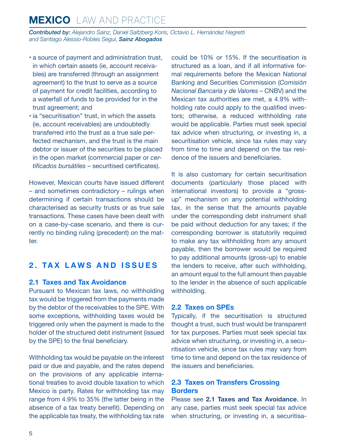<span id="page-4-0"></span>*Contributed by: Alejandro Sainz, Daniel Saltzberg Koris, Octavio L. Hernández Negretti and Santiago Alessio-Robles Seguí, Sainz Abogados*

- a source of payment and administration trust, in which certain assets (ie, account receivables) are transferred (through an assignment agreement) to the trust to serve as a source of payment for credit facilities, according to a waterfall of funds to be provided for in the trust agreement; and
- ia "securitisation" trust, in which the assets (ie, account receivables) are undoubtedly transferred into the trust as a true sale perfected mechanism, and the trust is the main debtor or issuer of the securities to be placed in the open market (commercial paper or *certificados bursátiles* – securitised certificates).

However, Mexican courts have issued different – and sometimes contradictory – rulings when determining if certain transactions should be characterised as security trusts or as true sale transactions. These cases have been dealt with on a case-by-case scenario, and there is currently no binding ruling (precedent) on the matter.

#### **2. TAX LAWS AND ISSUES**

#### **2.1 Taxes and Tax Avoidance**

Pursuant to Mexican tax laws, no withholding tax would be triggered from the payments made by the debtor of the receivables to the SPE. With some exceptions, withholding taxes would be triggered only when the payment is made to the holder of the structured debt instrument (issued by the SPE) to the final beneficiary.

Withholding tax would be payable on the interest paid or due and payable, and the rates depend on the provisions of any applicable international treaties to avoid double taxation to which Mexico is party. Rates for withholding tax may range from 4.9% to 35% (the latter being in the absence of a tax treaty benefit). Depending on the applicable tax treaty, the withholding tax rate

could be 10% or 15%. If the securitisation is structured as a loan, and if all informative formal requirements before the Mexican National Banking and Securities Commission (*Comisión Nacional Bancaria y de Valores* – CNBV) and the Mexican tax authorities are met, a 4.9% withholding rate could apply to the qualified investors; otherwise, a reduced withholding rate would be applicable. Parties must seek special tax advice when structuring, or investing in, a securitisation vehicle, since tax rules may vary from time to time and depend on the tax residence of the issuers and beneficiaries.

It is also customary for certain securitisation documents (particularly those placed with international investors) to provide a "grossup" mechanism on any potential withholding tax, in the sense that the amounts payable under the corresponding debt instrument shall be paid without deduction for any taxes; if the corresponding borrower is statutorily required to make any tax withholding from any amount payable, then the borrower would be required to pay additional amounts (gross-up) to enable the lenders to receive, after such withholding, an amount equal to the full amount then payable to the lender in the absence of such applicable withholding.

#### **2.2 Taxes on SPEs**

Typically, if the securitisation is structured thought a trust, such trust would be transparent for tax purposes. Parties must seek special tax advice when structuring, or investing in, a securitisation vehicle, since tax rules may vary from time to time and depend on the tax residence of the issuers and beneficiaries.

#### **2.3 Taxes on Transfers Crossing Borders**

Please see **2.1 Taxes and Tax Avoidance**. In any case, parties must seek special tax advice when structuring, or investing in, a securitisa-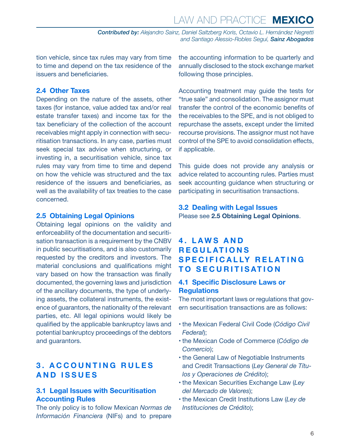<span id="page-5-0"></span>tion vehicle, since tax rules may vary from time to time and depend on the tax residence of the issuers and beneficiaries.

#### **2.4 Other Taxes**

Depending on the nature of the assets, other taxes (for instance, value added tax and/or real estate transfer taxes) and income tax for the tax beneficiary of the collection of the account receivables might apply in connection with securitisation transactions. In any case, parties must seek special tax advice when structuring, or investing in, a securitisation vehicle, since tax rules may vary from time to time and depend on how the vehicle was structured and the tax residence of the issuers and beneficiaries, as well as the availability of tax treaties to the case concerned.

#### **2.5 Obtaining Legal Opinions**

Obtaining legal opinions on the validity and enforceability of the documentation and securitisation transaction is a requirement by the CNBV in public securitisations, and is also customarily requested by the creditors and investors. The material conclusions and qualifications might vary based on how the transaction was finally documented, the governing laws and jurisdiction of the ancillary documents, the type of underlying assets, the collateral instruments, the existence of guarantors, the nationality of the relevant parties, etc. All legal opinions would likely be qualified by the applicable bankruptcy laws and potential bankruptcy proceedings of the debtors and guarantors.

#### **3 . A C C O U N T I N G R U L E S AND ISSUES**

#### **3.1 Legal Issues with Securitisation Accounting Rules**

The only policy is to follow Mexican *Normas de Información Financiera* (NIFs) and to prepare the accounting information to be quarterly and annually disclosed to the stock exchange market following those principles.

Accounting treatment may guide the tests for "true sale" and consolidation. The assignor must transfer the control of the economic benefits of the receivables to the SPE, and is not obliged to repurchase the assets, except under the limited recourse provisions. The assignor must not have control of the SPE to avoid consolidation effects, if applicable.

This guide does not provide any analysis or advice related to accounting rules. Parties must seek accounting guidance when structuring or participating in securitisation transactions.

#### **3.2 Dealing with Legal Issues** Please see **2.5 Obtaining Legal Opinions**.

#### **4 . L A W S A N D R E G U L AT I O N S S P E C I F I C A L LY R E L AT I N G TO SECURITISATION**

#### **4.1 Specific Disclosure Laws or Regulations**

The most important laws or regulations that govern securitisation transactions are as follows:

- the Mexican Federal Civil Code (*Código Civil Federal*);
- the Mexican Code of Commerce (*Código de Comercio*);
- the General Law of Negotiable Instruments and Credit Transactions (*Ley General de Títulos y Operaciones de Crédito*);
- the Mexican Securities Exchange Law (*Ley del Mercado de Valores*);
- the Mexican Credit Institutions Law (*Ley de Instituciones de Crédito*);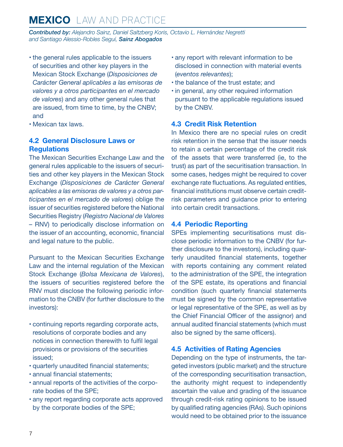<span id="page-6-0"></span>*Contributed by: Alejandro Sainz, Daniel Saltzberg Koris, Octavio L. Hernández Negretti and Santiago Alessio-Robles Seguí, Sainz Abogados*

- the general rules applicable to the issuers of securities and other key players in the Mexican Stock Exchange (*Disposiciones de Carácter General aplicables a las emisoras de valores y a otros participantes en el mercado de valores*) and any other general rules that are issued, from time to time, by the CNBV; and
- Mexican tax laws.

#### **4.2 General Disclosure Laws or Regulations**

The Mexican Securities Exchange Law and the general rules applicable to the issuers of securities and other key players in the Mexican Stock Exchange (*Disposiciones de Carácter General aplicables a las emisoras de valores y a otros participantes en el mercado de valores*) oblige the issuer of securities registered before the National Securities Registry (*Registro Nacional de Valores* – RNV) to periodically disclose information on the issuer of an accounting, economic, financial and legal nature to the public.

Pursuant to the Mexican Securities Exchange Law and the internal regulation of the Mexican Stock Exchange (*Bolsa Mexicana de Valores*), the issuers of securities registered before the RNV must disclose the following periodic information to the CNBV (for further disclosure to the investors):

- continuing reports regarding corporate acts, resolutions of corporate bodies and any notices in connection therewith to fulfil legal provisions or provisions of the securities issued;
- quarterly unaudited financial statements;
- annual financial statements;
- annual reports of the activities of the corporate bodies of the SPE;
- any report regarding corporate acts approved by the corporate bodies of the SPE;
- any report with relevant information to be disclosed in connection with material events (*eventos relevantes*);
- the balance of the trust estate; and
- in general, any other required information pursuant to the applicable regulations issued by the CNBV.

#### **4.3 Credit Risk Retention**

In Mexico there are no special rules on credit risk retention in the sense that the issuer needs to retain a certain percentage of the credit risk of the assets that were transferred (ie, to the trust) as part of the securitisation transaction. In some cases, hedges might be required to cover exchange rate fluctuations. As regulated entities, financial institutions must observe certain creditrisk parameters and guidance prior to entering into certain credit transactions.

#### **4.4 Periodic Reporting**

SPEs implementing securitisations must disclose periodic information to the CNBV (for further disclosure to the investors), including quarterly unaudited financial statements, together with reports containing any comment related to the administration of the SPE, the integration of the SPE estate, its operations and financial condition (such quarterly financial statements must be signed by the common representative or legal representative of the SPE, as well as by the Chief Financial Officer of the assignor) and annual audited financial statements (which must also be signed by the same officers).

#### **4.5 Activities of Rating Agencies**

Depending on the type of instruments, the targeted investors (public market) and the structure of the corresponding securitisation transaction, the authority might request to independently ascertain the value and grading of the issuance through credit-risk rating opinions to be issued by qualified rating agencies (RAs). Such opinions would need to be obtained prior to the issuance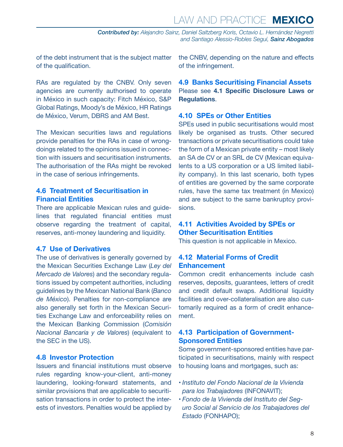<span id="page-7-0"></span>of the debt instrument that is the subject matter of the qualification.

RAs are regulated by the CNBV. Only seven agencies are currently authorised to operate in México in such capacity: Fitch México, S&P Global Ratings, Moody's de México, HR Ratings de México, Verum, DBRS and AM Best.

The Mexican securities laws and regulations provide penalties for the RAs in case of wrongdoings related to the opinions issued in connection with issuers and securitisation instruments. The authorisation of the RAs might be revoked in the case of serious infringements.

#### **4.6 Treatment of Securitisation in Financial Entities**

There are applicable Mexican rules and guidelines that regulated financial entities must observe regarding the treatment of capital, reserves, anti-money laundering and liquidity.

#### **4.7 Use of Derivatives**

The use of derivatives is generally governed by the Mexican Securities Exchange Law (*Ley del Mercado de Valores*) and the secondary regulations issued by competent authorities, including guidelines by the Mexican National Bank (*Banco de México*). Penalties for non-compliance are also generally set forth in the Mexican Securities Exchange Law and enforceability relies on the Mexican Banking Commission (*Comisión Nacional Bancaria y de Valores*) (equivalent to the SEC in the US).

#### **4.8 Investor Protection**

Issuers and financial institutions must observe rules regarding know-your-client, anti-money laundering, looking-forward statements, and similar provisions that are applicable to securitisation transactions in order to protect the interests of investors. Penalties would be applied by the CNBV, depending on the nature and effects of the infringement.

**4.9 Banks Securitising Financial Assets** Please see **4.1 Specific Disclosure Laws or Regulations**.

#### **4.10 SPEs or Other Entities**

SPEs used in public securitisations would most likely be organised as trusts. Other secured transactions or private securitisations could take the form of a Mexican private entity – most likely an SA de CV or an SRL de CV (Mexican equivalents to a US corporation or a US limited liability company). In this last scenario, both types of entities are governed by the same corporate rules, have the same tax treatment (in Mexico) and are subject to the same bankruptcy provisions.

#### **4.11 Activities Avoided by SPEs or Other Securitisation Entities**

This question is not applicable in Mexico.

#### **4.12 Material Forms of Credit Enhancement**

Common credit enhancements include cash reserves, deposits, guarantees, letters of credit and credit default swaps. Additional liquidity facilities and over-collateralisation are also customarily required as a form of credit enhancement.

#### **4.13 Participation of Government-Sponsored Entities**

Some government-sponsored entities have participated in securitisations, mainly with respect to housing loans and mortgages, such as:

- *Instituto del Fondo Nacional de la Vivienda para los Trabajadores* (INFONAVIT);
- *Fondo de la Vivienda del Instituto del Seguro Social al Servicio de los Trabajadores del Estado* (FONHAPO);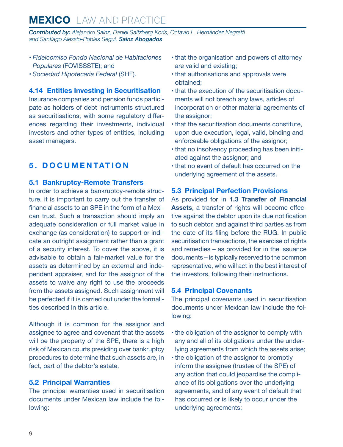<span id="page-8-0"></span>*Contributed by: Alejandro Sainz, Daniel Saltzberg Koris, Octavio L. Hernández Negretti and Santiago Alessio-Robles Seguí, Sainz Abogados*

- *Fideicomiso Fondo Nacional de Habitaciones Populares* (FOVISSSTE); and
- *Sociedad Hipotecaria Federal* (SHF).

**4.14 Entities Investing in Securitisation**

Insurance companies and pension funds participate as holders of debt instruments structured as securitisations, with some regulatory differences regarding their investments, individual investors and other types of entities, including asset managers.

#### **5. DOCUMENTATION**

#### **5.1 Bankruptcy-Remote Transfers**

In order to achieve a bankruptcy-remote structure, it is important to carry out the transfer of financial assets to an SPE in the form of a Mexican trust. Such a transaction should imply an adequate consideration or full market value in exchange (as consideration) to support or indicate an outright assignment rather than a grant of a security interest. To cover the above, it is advisable to obtain a fair-market value for the assets as determined by an external and independent appraiser, and for the assignor of the assets to waive any right to use the proceeds from the assets assigned. Such assignment will be perfected if it is carried out under the formalities described in this article.

Although it is common for the assignor and assignee to agree and covenant that the assets will be the property of the SPE, there is a high risk of Mexican courts presiding over bankruptcy procedures to determine that such assets are, in fact, part of the debtor's estate.

#### **5.2 Principal Warranties**

The principal warranties used in securitisation documents under Mexican law include the following:

- that the organisation and powers of attorney are valid and existing;
- that authorisations and approvals were obtained;
- that the execution of the securitisation documents will not breach any laws, articles of incorporation or other material agreements of the assignor;
- that the securitisation documents constitute, upon due execution, legal, valid, binding and enforceable obligations of the assignor;
- that no insolvency proceeding has been initiated against the assignor; and
- that no event of default has occurred on the underlying agreement of the assets.

#### **5.3 Principal Perfection Provisions**

As provided for in **1.3 Transfer of Financial**  Assets, a transfer of rights will become effective against the debtor upon its due notification to such debtor, and against third parties as from the date of its filing before the RUG. In public securitisation transactions, the exercise of rights and remedies – as provided for in the issuance documents – is typically reserved to the common representative, who will act in the best interest of the investors, following their instructions.

#### **5.4 Principal Covenants**

The principal covenants used in securitisation documents under Mexican law include the following:

- the obligation of the assignor to comply with any and all of its obligations under the underlying agreements from which the assets arise;
- the obligation of the assignor to promptly inform the assignee (trustee of the SPE) of any action that could jeopardise the compliance of its obligations over the underlying agreements, and of any event of default that has occurred or is likely to occur under the underlying agreements;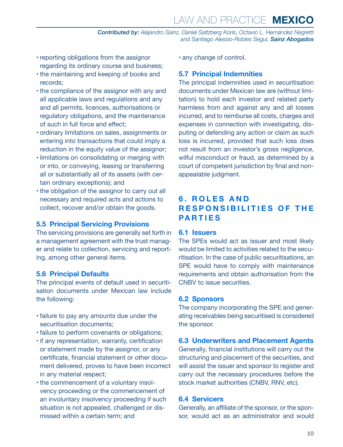## LAW AND PRACTICE **MEXICO**

*Contributed by: Alejandro Sainz, Daniel Saltzberg Koris, Octavio L. Hernández Negretti and Santiago Alessio-Robles Seguí, Sainz Abogados*

- <span id="page-9-0"></span>• reporting obligations from the assignor regarding its ordinary course and business;
- the maintaining and keeping of books and records;
- the compliance of the assignor with any and all applicable laws and regulations and any and all permits, licences, authorisations or regulatory obligations, and the maintenance of such in full force and effect;
- ordinary limitations on sales, assignments or entering into transactions that could imply a reduction in the equity value of the assignor;
- limitations on consolidating or merging with or into, or conveying, leasing or transferring all or substantially all of its assets (with certain ordinary exceptions); and
- the obligation of the assignor to carry out all necessary and required acts and actions to collect, recover and/or obtain the goods.

#### **5.5 Principal Servicing Provisions**

The servicing provisions are generally set forth in a management agreement with the trust manager and relate to collection, servicing and reporting, among other general items.

#### **5.6 Principal Defaults**

The principal events of default used in securitisation documents under Mexican law include the following:

- failure to pay any amounts due under the securitisation documents:
- failure to perform covenants or obligations;
- if any representation, warranty, certification or statement made by the assignor, or any certificate, financial statement or other document delivered, proves to have been incorrect in any material respect;
- the commencement of a voluntary insolvency proceeding or the commencement of an involuntary insolvency proceeding if such situation is not appealed, challenged or dismissed within a certain term; and

• any change of control.

#### **5.7 Principal Indemnities**

The principal indemnities used in securitisation documents under Mexican law are (without limitation) to hold each investor and related party harmless from and against any and all losses incurred, and to reimburse all costs, charges and expenses in connection with investigating, disputing or defending any action or claim as such loss is incurred, provided that such loss does not result from an investor's gross negligence, wilful misconduct or fraud, as determined by a court of competent jurisdiction by final and nonappealable judgment.

#### **6 . R O L E S A N D RESPONSIBILITIES OF THE PARTIES**

#### **6.1 Issuers**

The SPEs would act as issuer and most likely would be limited to activities related to the securitisation. In the case of public securitisations, an SPE would have to comply with maintenance requirements and obtain authorisation from the CNBV to issue securities.

#### **6.2 Sponsors**

The company incorporating the SPE and generating receivables being securitised is considered the sponsor.

#### **6.3 Underwriters and Placement Agents**

Generally, financial institutions will carry out the structuring and placement of the securities, and will assist the issuer and sponsor to register and carry out the necessary procedures before the stock market authorities (CNBV, RNV, etc).

#### **6.4 Servicers**

Generally, an affiliate of the sponsor, or the sponsor, would act as an administrator and would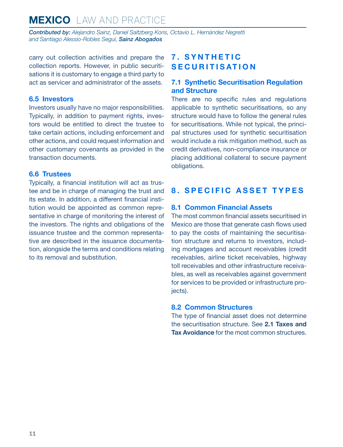<span id="page-10-0"></span>*Contributed by: Alejandro Sainz, Daniel Saltzberg Koris, Octavio L. Hernández Negretti and Santiago Alessio-Robles Seguí, Sainz Abogados*

carry out collection activities and prepare the collection reports. However, in public securitisations it is customary to engage a third party to act as servicer and administrator of the assets.

#### **6.5 Investors**

Investors usually have no major responsibilities. Typically, in addition to payment rights, investors would be entitled to direct the trustee to take certain actions, including enforcement and other actions, and could request information and other customary covenants as provided in the transaction documents.

#### **6.6 Trustees**

Typically, a financial institution will act as trustee and be in charge of managing the trust and its estate. In addition, a different financial institution would be appointed as common representative in charge of monitoring the interest of the investors. The rights and obligations of the issuance trustee and the common representative are described in the issuance documentation, alongside the terms and conditions relating to its removal and substitution.

#### **7 . S Y N T H E T I C SECURITISATION**

#### **7.1 Synthetic Securitisation Regulation and Structure**

There are no specific rules and regulations applicable to synthetic securitisations, so any structure would have to follow the general rules for securitisations. While not typical, the principal structures used for synthetic securitisation would include a risk mitigation method, such as credit derivatives, non-compliance insurance or placing additional collateral to secure payment obligations.

#### **8. SPECIFIC ASSET TYPES**

#### **8.1 Common Financial Assets**

The most common financial assets securitised in Mexico are those that generate cash flows used to pay the costs of maintaining the securitisation structure and returns to investors, including mortgages and account receivables (credit receivables, airline ticket receivables, highway toll receivables and other infrastructure receivables, as well as receivables against government for services to be provided or infrastructure proiects).

#### **8.2 Common Structures**

The type of financial asset does not determine the securitisation structure. See **2.1 Taxes and Tax Avoidance** for the most common structures.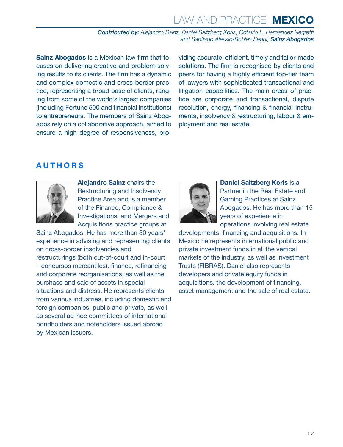## LAW AND PRACTICE **MEXICO**

*Contributed by: Alejandro Sainz, Daniel Saltzberg Koris, Octavio L. Hernández Negretti and Santiago Alessio-Robles Seguí, Sainz Abogados*

**Sainz Abogados** is a Mexican law firm that focuses on delivering creative and problem-solving results to its clients. The firm has a dynamic and complex domestic and cross-border practice, representing a broad base of clients, ranging from some of the world's largest companies (including Fortune 500 and financial institutions) to entrepreneurs. The members of Sainz Abogados rely on a collaborative approach, aimed to ensure a high degree of responsiveness, providing accurate, efficient, timely and tailor-made solutions. The firm is recognised by clients and peers for having a highly efficient top-tier team of lawyers with sophisticated transactional and litigation capabilities. The main areas of practice are corporate and transactional, dispute resolution, energy, financing & financial instruments, insolvency & restructuring, labour & employment and real estate.

#### <span id="page-11-0"></span>**AUTHORS**



**Alejandro Sainz** chairs the Restructuring and Insolvency Practice Area and is a member of the Finance, Compliance & Investigations, and Mergers and Acquisitions practice groups at

Sainz Abogados. He has more than 30 years' experience in advising and representing clients on cross-border insolvencies and restructurings (both out-of-court and in-court – concursos mercantiles), finance, refinancing and corporate reorganisations, as well as the purchase and sale of assets in special situations and distress. He represents clients from various industries, including domestic and foreign companies, public and private, as well as several ad-hoc committees of international bondholders and noteholders issued abroad by Mexican issuers.



**Daniel Saltzberg Koris is a** Partner in the Real Estate and Gaming Practices at Sainz Abogados. He has more than 15 years of experience in operations involving real estate

developments, financing and acquisitions. In Mexico he represents international public and private investment funds in all the vertical markets of the industry, as well as Investment Trusts (FIBRAS). Daniel also represents developers and private equity funds in acquisitions, the development of financing, asset management and the sale of real estate.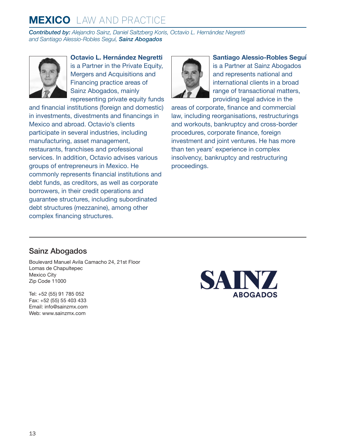*Contributed by: Alejandro Sainz, Daniel Saltzberg Koris, Octavio L. Hernández Negretti and Santiago Alessio-Robles Seguí, Sainz Abogados*



**Octavio L. Hernández Negretti**  is a Partner in the Private Equity, Mergers and Acquisitions and Financing practice areas of Sainz Abogados, mainly representing private equity funds

and financial institutions (foreign and domestic) in investments, divestments and financings in Mexico and abroad. Octavio's clients participate in several industries, including manufacturing, asset management, restaurants, franchises and professional services. In addition, Octavio advises various groups of entrepreneurs in Mexico. He commonly represents financial institutions and debt funds, as creditors, as well as corporate borrowers, in their credit operations and guarantee structures, including subordinated debt structures (mezzanine), among other complex financing structures.



**Santiago Alessio-Robles Seguí** 

is a Partner at Sainz Abogados and represents national and international clients in a broad range of transactional matters, providing legal advice in the

areas of corporate, finance and commercial law, including reorganisations, restructurings and workouts, bankruptcy and cross-border procedures, corporate finance, foreign investment and joint ventures. He has more than ten years' experience in complex insolvency, bankruptcy and restructuring proceedings.

#### Sainz Abogados

Boulevard Manuel Avila Camacho 24, 21st Floor Lomas de Chapultepec Mexico City Zip Code 11000

Tel: +52 (55) 91 785 052 Fax: +52 (55) 55 403 433 Email: [info@sainzmx.com](mailto:info@sainzmx.com) Web: [www.sainzmx.com](http://www.sainzmx.com)

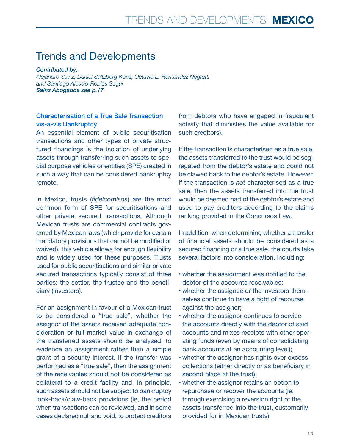## Trends and Developments

*Contributed by:*

*Alejandro Sainz, Daniel Saltzberg Koris, Octavio L. Hernández Negretti and Santiago Alessio-Robles Seguí Sainz Abogados see p.17*

#### Characterisation of a True Sale Transaction vis-à-vis Bankruptcy

An essential element of public securitisation transactions and other types of private structured financings is the isolation of underlying assets through transferring such assets to special purpose vehicles or entities (SPE) created in such a way that can be considered bankruptcy remote.

In Mexico, trusts (*fideicomisos*) are the most common form of SPE for securitisations and other private secured transactions. Although Mexican trusts are commercial contracts governed by Mexican laws (which provide for certain mandatory provisions that cannot be modified or waived), this vehicle allows for enough flexibility and is widely used for these purposes. Trusts used for public securitisations and similar private secured transactions typically consist of three parties: the settlor, the trustee and the beneficiary (investors).

For an assignment in favour of a Mexican trust to be considered a "true sale", whether the assignor of the assets received adequate consideration or full market value in exchange of the transferred assets should be analysed, to evidence an assignment rather than a simple grant of a security interest. If the transfer was performed as a "true sale", then the assignment of the receivables should not be considered as collateral to a credit facility and, in principle, such assets should not be subject to bankruptcy look-back/claw-back provisions (ie, the period when transactions can be reviewed, and in some cases declared null and void, to protect creditors from debtors who have engaged in fraudulent activity that diminishes the value available for such creditors).

If the transaction is characterised as a true sale, the assets transferred to the trust would be segregated from the debtor's estate and could not be clawed back to the debtor's estate. However, if the transaction is *not* characterised as a true sale, then the assets transferred into the trust would be deemed part of the debtor's estate and used to pay creditors according to the claims ranking provided in the Concursos Law.

In addition, when determining whether a transfer of financial assets should be considered as a secured financing or a true sale, the courts take several factors into consideration, including:

- whether the assignment was notified to the debtor of the accounts receivables;
- whether the assignee or the investors themselves continue to have a right of recourse against the assignor;
- whether the assignor continues to service the accounts directly with the debtor of said accounts and mixes receipts with other operating funds (even by means of consolidating bank accounts at an accounting level);
- whether the assignor has rights over excess collections (either directly or as beneficiary in second place at the trust);
- whether the assignor retains an option to repurchase or recover the accounts (ie, through exercising a reversion right of the assets transferred into the trust, customarily provided for in Mexican trusts);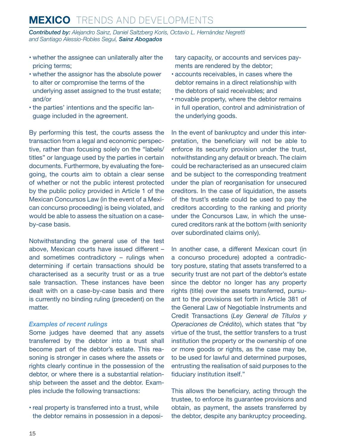## **MEXICO** TRENDS AND DEVELOPMENTS

*Contributed by: Alejandro Sainz, Daniel Saltzberg Koris, Octavio L. Hernández Negretti and Santiago Alessio-Robles Seguí, Sainz Abogados*

- whether the assignee can unilaterally alter the pricing terms;
- whether the assignor has the absolute power to alter or compromise the terms of the underlying asset assigned to the trust estate; and/or
- the parties' intentions and the specific language included in the agreement.

By performing this test, the courts assess the transaction from a legal and economic perspective, rather than focusing solely on the "labels/ titles" or language used by the parties in certain documents. Furthermore, by evaluating the foregoing, the courts aim to obtain a clear sense of whether or not the public interest protected by the public policy provided in Article 1 of the Mexican Concursos Law (in the event of a Mexican concurso proceeding) is being violated, and would be able to assess the situation on a caseby-case basis.

Notwithstanding the general use of the test above, Mexican courts have issued different – and sometimes contradictory – rulings when determining if certain transactions should be characterised as a security trust or as a true sale transaction. These instances have been dealt with on a case-by-case basis and there is currently no binding ruling (precedent) on the matter.

#### *Examples of recent rulings*

Some judges have deemed that any assets transferred by the debtor into a trust shall become part of the debtor's estate. This reasoning is stronger in cases where the assets or rights clearly continue in the possession of the debtor, or where there is a substantial relationship between the asset and the debtor. Examples include the following transactions:

• real property is transferred into a trust, while the debtor remains in possession in a depositary capacity, or accounts and services payments are rendered by the debtor;

- accounts receivables, in cases where the debtor remains in a direct relationship with the debtors of said receivables; and
- movable property, where the debtor remains in full operation, control and administration of the underlying goods.

In the event of bankruptcy and under this interpretation, the beneficiary will not be able to enforce its security provision under the trust, notwithstanding any default or breach. The claim could be recharacterised as an unsecured claim and be subject to the corresponding treatment under the plan of reorganisation for unsecured creditors. In the case of liquidation, the assets of the trust's estate could be used to pay the creditors according to the ranking and priority under the Concursos Law, in which the unsecured creditors rank at the bottom (with seniority over subordinated claims only).

In another case, a different Mexican court (in a concurso procedure) adopted a contradictory posture, stating that assets transferred to a security trust are not part of the debtor's estate since the debtor no longer has any property rights (title) over the assets transferred, pursuant to the provisions set forth in Article 381 of the General Law of Negotiable Instruments and Credit Transactions (*Ley General de Títulos y Operaciones de Crédito*), which states that "by virtue of the trust, the settlor transfers to a trust institution the property or the ownership of one or more goods or rights, as the case may be, to be used for lawful and determined purposes, entrusting the realisation of said purposes to the fiduciary institution itself."

This allows the beneficiary, acting through the trustee, to enforce its guarantee provisions and obtain, as payment, the assets transferred by the debtor, despite any bankruptcy proceeding.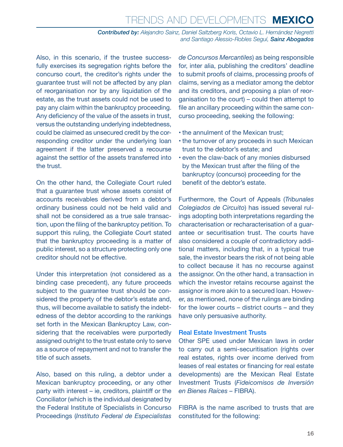Also, in this scenario, if the trustee successfully exercises its segregation rights before the concurso court, the creditor's rights under the guarantee trust will not be affected by any plan of reorganisation nor by any liquidation of the estate, as the trust assets could not be used to pay any claim within the bankruptcy proceeding. Any deficiency of the value of the assets in trust, versus the outstanding underlying indebtedness, could be claimed as unsecured credit by the corresponding creditor under the underlying loan agreement if the latter preserved a recourse against the settlor of the assets transferred into the trust.

On the other hand, the Collegiate Court ruled that a guarantee trust whose assets consist of accounts receivables derived from a debtor's ordinary business could not be held valid and shall not be considered as a true sale transaction, upon the filing of the bankruptcy petition. To support this ruling, the Collegiate Court stated that the bankruptcy proceeding is a matter of public interest, so a structure protecting only one creditor should not be effective.

Under this interpretation (not considered as a binding case precedent), any future proceeds subject to the guarantee trust should be considered the property of the debtor's estate and, thus, will become available to satisfy the indebtedness of the debtor according to the rankings set forth in the Mexican Bankruptcy Law, considering that the receivables were purportedly assigned outright to the trust estate only to serve as a source of repayment and not to transfer the title of such assets.

Also, based on this ruling, a debtor under a Mexican bankruptcy proceeding, or any other party with interest – ie, creditors, plaintiff or the Conciliator (which is the individual designated by the Federal Institute of Specialists in Concurso Proceedings (*Instituto Federal de Especialistas* 

*de Concursos Mercantiles*) as being responsible for, inter alia, publishing the creditors' deadline to submit proofs of claims, processing proofs of claims, serving as a mediator among the debtor and its creditors, and proposing a plan of reorganisation to the court) – could then attempt to file an ancillary proceeding within the same concurso proceeding, seeking the following:

- the annulment of the Mexican trust;
- the turnover of any proceeds in such Mexican trust to the debtor's estate; and
- even the claw-back of any monies disbursed by the Mexican trust after the filing of the bankruptcy (concurso) proceeding for the benefit of the debtor's estate.

Furthermore, the Court of Appeals (*Tribunales Colegiados de Circuito*) has issued several rulings adopting both interpretations regarding the characterisation or recharacterisation of a guarantee or securitisation trust. The courts have also considered a couple of contradictory additional matters, including that, in a typical true sale, the investor bears the risk of not being able to collect because it has no recourse against the assignor. On the other hand, a transaction in which the investor retains recourse against the assignor is more akin to a secured loan. However, as mentioned, none of the rulings are binding for the lower courts – district courts – and they have only persuasive authority.

#### Real Estate Investment Trusts

Other SPE used under Mexican laws in order to carry out a semi-securitisation (rights over real estates, rights over income derived from leases of real estates or financing for real estate developments) are the Mexican Real Estate Investment Trusts (*Fideicomisos de Inversión en Bienes Raíces –* FIBRA).

FIBRA is the name ascribed to trusts that are constituted for the following: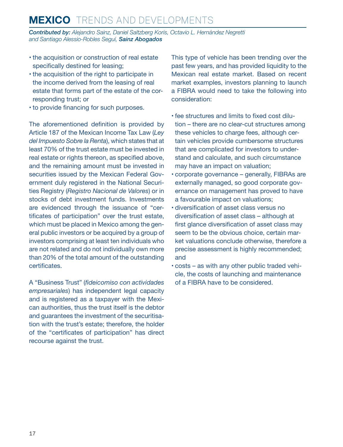## **MEXICO** TRENDS AND DEVELOPMENTS

*Contributed by: Alejandro Sainz, Daniel Saltzberg Koris, Octavio L. Hernández Negretti and Santiago Alessio-Robles Seguí, Sainz Abogados*

- the acquisition or construction of real estate specifically destined for leasing;
- the acquisition of the right to participate in the income derived from the leasing of real estate that forms part of the estate of the corresponding trust; or
- to provide financing for such purposes.

The aforementioned definition is provided by Article 187 of the Mexican Income Tax Law (*Ley del Impuesto Sobre la Renta*), which states that at least 70% of the trust estate must be invested in real estate or rights thereon, as specified above, and the remaining amount must be invested in securities issued by the Mexican Federal Government duly registered in the National Securities Registry (*Registro Nacional de Valores*) or in stocks of debt investment funds. Investments are evidenced through the issuance of "certificates of participation" over the trust estate, which must be placed in Mexico among the general public investors or be acquired by a group of investors comprising at least ten individuals who are not related and do not individually own more than 20% of the total amount of the outstanding certificates.

A "Business Trust" (*fideicomiso con actividades empresariales*) has independent legal capacity and is registered as a taxpayer with the Mexican authorities, thus the trust itself is the debtor and guarantees the investment of the securitisation with the trust's estate; therefore, the holder of the "certificates of participation" has direct recourse against the trust.

This type of vehicle has been trending over the past few years, and has provided liquidity to the Mexican real estate market. Based on recent market examples, investors planning to launch a FIBRA would need to take the following into consideration:

- fee structures and limits to fixed cost dilution – there are no clear-cut structures among these vehicles to charge fees, although certain vehicles provide cumbersome structures that are complicated for investors to understand and calculate, and such circumstance may have an impact on valuation;
- corporate governance generally, FIBRAs are externally managed, so good corporate governance on management has proved to have a favourable impact on valuations;
- diversification of asset class versus no diversification of asset class – although at first glance diversification of asset class may seem to be the obvious choice, certain market valuations conclude otherwise, therefore a precise assessment is highly recommended; and
- costs as with any other public traded vehicle, the costs of launching and maintenance of a FIBRA have to be considered.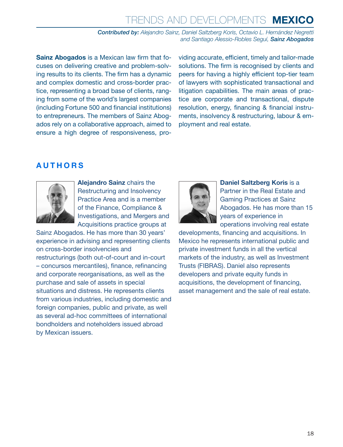**Sainz Abogados** is a Mexican law firm that focuses on delivering creative and problem-solving results to its clients. The firm has a dynamic and complex domestic and cross-border practice, representing a broad base of clients, ranging from some of the world's largest companies (including Fortune 500 and financial institutions) to entrepreneurs. The members of Sainz Abogados rely on a collaborative approach, aimed to ensure a high degree of responsiveness, providing accurate, efficient, timely and tailor-made solutions. The firm is recognised by clients and peers for having a highly efficient top-tier team of lawyers with sophisticated transactional and litigation capabilities. The main areas of practice are corporate and transactional, dispute resolution, energy, financing & financial instruments, insolvency & restructuring, labour & employment and real estate.

#### **AUTHORS**



**Alejandro Sainz** chairs the Restructuring and Insolvency Practice Area and is a member of the Finance, Compliance & Investigations, and Mergers and Acquisitions practice groups at

Sainz Abogados. He has more than 30 years' experience in advising and representing clients on cross-border insolvencies and restructurings (both out-of-court and in-court – concursos mercantiles), finance, refinancing and corporate reorganisations, as well as the purchase and sale of assets in special situations and distress. He represents clients from various industries, including domestic and foreign companies, public and private, as well as several ad-hoc committees of international bondholders and noteholders issued abroad by Mexican issuers.



**Daniel Saltzberg Koris is a** Partner in the Real Estate and Gaming Practices at Sainz Abogados. He has more than 15 years of experience in operations involving real estate

developments, financing and acquisitions. In Mexico he represents international public and private investment funds in all the vertical markets of the industry, as well as Investment Trusts (FIBRAS). Daniel also represents developers and private equity funds in acquisitions, the development of financing, asset management and the sale of real estate.